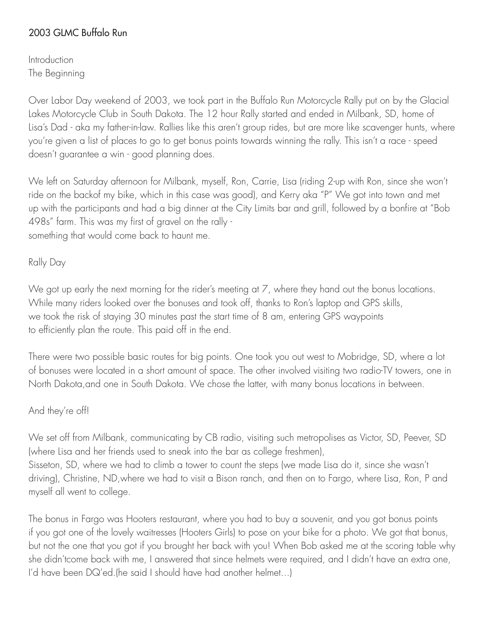# 2003 GLMC Buffalo Run

**Introduction** The Beginning

Over Labor Day weekend of 2003, we took part in the Buffalo Run Motorcycle Rally put on by the Glacial Lakes Motorcycle Club in South Dakota. The 12 hour Rally started and ended in Milbank, SD, home of Lisa's Dad - aka my father-in-law. Rallies like this aren't group rides, but are more like scavenger hunts, where you're given a list of places to go to get bonus points towards winning the rally. This isn't a race - speed doesn't guarantee a win - good planning does.

We left on Saturday afternoon for Milbank, myself, Ron, Carrie, Lisa (riding 2-up with Ron, since she won't ride on the backof my bike, which in this case was good), and Kerry aka "P" We got into town and met up with the participants and had a big dinner at the City Limits bar and grill, followed by a bonfire at "Bob 498s" farm. This was my first of gravel on the rally something that would come back to haunt me.

Rally Day

We got up early the next morning for the rider's meeting at 7, where they hand out the bonus locations. While many riders looked over the bonuses and took off, thanks to Ron's laptop and GPS skills, we took the risk of staying 30 minutes past the start time of 8 am, entering GPS waypoints to efficiently plan the route. This paid off in the end.

There were two possible basic routes for big points. One took you out west to Mobridge, SD, where a lot of bonuses were located in a short amount of space. The other involved visiting two radio-TV towers, one in North Dakota,and one in South Dakota. We chose the latter, with many bonus locations in between.

### And they're off!

We set off from Milbank, communicating by CB radio, visiting such metropolises as Victor, SD, Peever, SD (where Lisa and her friends used to sneak into the bar as college freshmen),

Sisseton, SD, where we had to climb a tower to count the steps (we made Lisa do it, since she wasn't driving), Christine, ND,where we had to visit a Bison ranch, and then on to Fargo, where Lisa, Ron, P and myself all went to college.

The bonus in Fargo was Hooters restaurant, where you had to buy a souvenir, and you got bonus points if you got one of the lovely waitresses (Hooters Girls) to pose on your bike for a photo. We got that bonus, but not the one that you got if you brought her back with you! When Bob asked me at the scoring table why she didn'tcome back with me, I answered that since helmets were required, and I didn't have an extra one, I'd have been DQ'ed.(he said I should have had another helmet...)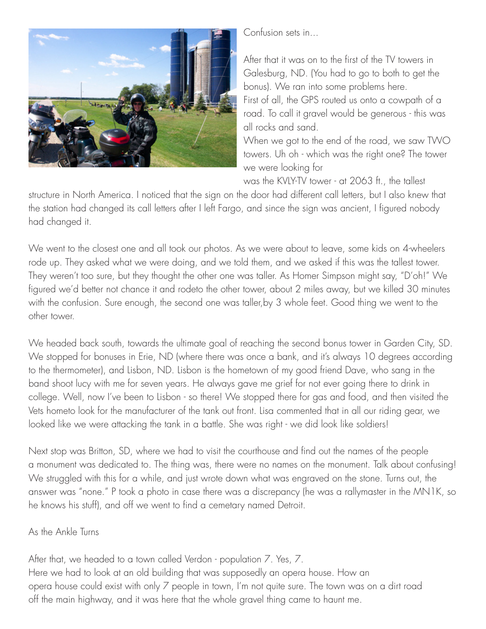

Confusion sets in...

After that it was on to the first of the TV towers in Galesburg, ND. (You had to go to both to get the bonus). We ran into some problems here. First of all, the GPS routed us onto a cowpath of a road. To call it gravel would be generous - this was all rocks and sand. When we got to the end of the road, we saw TWO

towers. Uh oh - which was the right one? The tower we were looking for

was the KVLY-TV tower - at 2063 ft., the tallest

structure in North America. I noticed that the sign on the door had different call letters, but I also knew that the station had changed its call letters after I left Fargo, and since the sign was ancient, I figured nobody had changed it.

We went to the closest one and all took our photos. As we were about to leave, some kids on 4-wheelers rode up. They asked what we were doing, and we told them, and we asked if this was the tallest tower. They weren't too sure, but they thought the other one was taller. As Homer Simpson might say, "D'oh!" We figured we'd better not chance it and rodeto the other tower, about 2 miles away, but we killed 30 minutes with the confusion. Sure enough, the second one was taller,by 3 whole feet. Good thing we went to the other tower.

We headed back south, towards the ultimate goal of reaching the second bonus tower in Garden City, SD. We stopped for bonuses in Erie, ND (where there was once a bank, and it's always 10 degrees according to the thermometer), and Lisbon, ND. Lisbon is the hometown of my good friend Dave, who sang in the band shoot lucy with me for seven years. He always gave me grief for not ever going there to drink in college. Well, now I've been to Lisbon - so there! We stopped there for gas and food, and then visited the Vets hometo look for the manufacturer of the tank out front. Lisa commented that in all our riding gear, we looked like we were attacking the tank in a battle. She was right - we did look like soldiers!

Next stop was Britton, SD, where we had to visit the courthouse and find out the names of the people a monument was dedicated to. The thing was, there were no names on the monument. Talk about confusing! We struggled with this for a while, and just wrote down what was engraved on the stone. Turns out, the answer was "none." P took a photo in case there was a discrepancy (he was a rallymaster in the MN1K, so he knows his stuff), and off we went to find a cemetary named Detroit.

## As the Ankle Turns

After that, we headed to a town called Verdon - population 7. Yes, 7. Here we had to look at an old building that was supposedly an opera house. How an opera house could exist with only 7 people in town, I'm not quite sure. The town was on a dirt road off the main highway, and it was here that the whole gravel thing came to haunt me.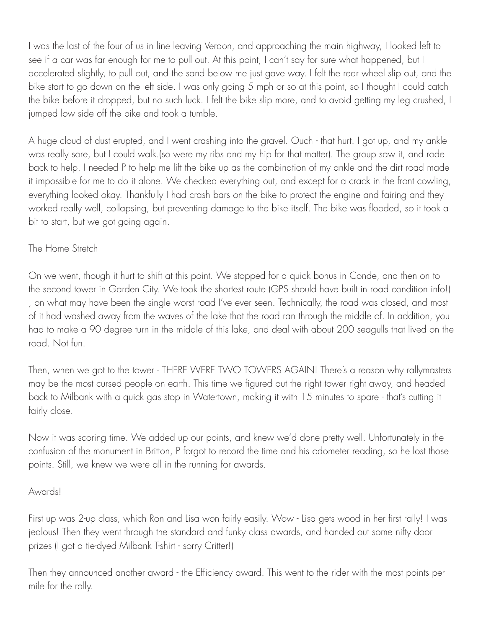I was the last of the four of us in line leaving Verdon, and approaching the main highway, I looked left to see if a car was far enough for me to pull out. At this point, I can't say for sure what happened, but I accelerated slightly, to pull out, and the sand below me just gave way. I felt the rear wheel slip out, and the bike start to go down on the left side. I was only going 5 mph or so at this point, so I thought I could catch the bike before it dropped, but no such luck. I felt the bike slip more, and to avoid getting my leg crushed, I jumped low side off the bike and took a tumble.

A huge cloud of dust erupted, and I went crashing into the gravel. Ouch - that hurt. I got up, and my ankle was really sore, but I could walk.(so were my ribs and my hip for that matter). The group saw it, and rode back to help. I needed P to help me lift the bike up as the combination of my ankle and the dirt road made it impossible for me to do it alone. We checked everything out, and except for a crack in the front cowling, everything looked okay. Thankfully I had crash bars on the bike to protect the engine and fairing and they worked really well, collapsing, but preventing damage to the bike itself. The bike was flooded, so it took a bit to start, but we got going again.

## The Home Stretch

On we went, though it hurt to shift at this point. We stopped for a quick bonus in Conde, and then on to the second tower in Garden City. We took the shortest route (GPS should have built in road condition info!) , on what may have been the single worst road I've ever seen. Technically, the road was closed, and most of it had washed away from the waves of the lake that the road ran through the middle of. In addition, you had to make a 90 degree turn in the middle of this lake, and deal with about 200 seagulls that lived on the road. Not fun.

Then, when we got to the tower - THERE WERE TWO TOWERS AGAIN! There's a reason why rallymasters may be the most cursed people on earth. This time we figured out the right tower right away, and headed back to Milbank with a quick gas stop in Watertown, making it with 15 minutes to spare - that's cutting it fairly close.

Now it was scoring time. We added up our points, and knew we'd done pretty well. Unfortunately in the confusion of the monument in Britton, P forgot to record the time and his odometer reading, so he lost those points. Still, we knew we were all in the running for awards.

#### Awards!

First up was 2-up class, which Ron and Lisa won fairly easily. Wow - Lisa gets wood in her first rally! I was jealous! Then they went through the standard and funky class awards, and handed out some nifty door prizes (I got a tie-dyed Milbank T-shirt - sorry Critter!)

Then they announced another award - the Efficiency award. This went to the rider with the most points per mile for the rally.